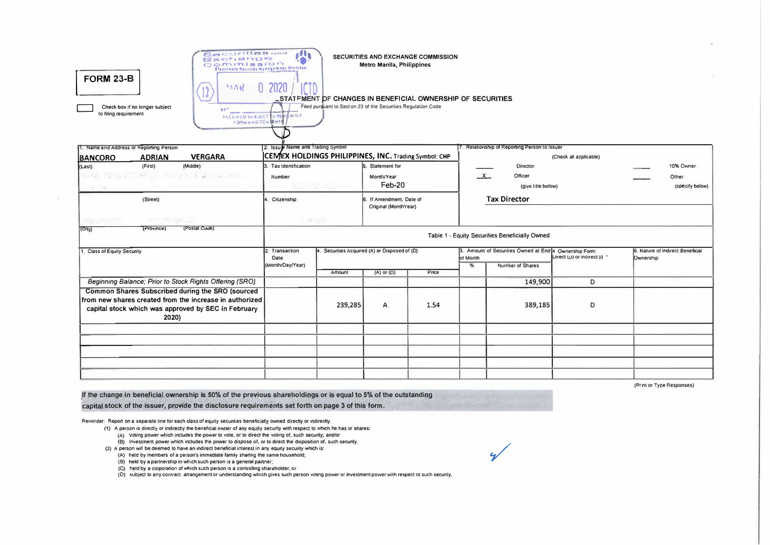| and the second control of the con-<br><b>EEM COMMONSSIER</b><br>COMMISSION<br><b>FORM 23-B</b><br>150 R<br>16<br>Check box if no longer subject<br><b>BY*</b><br>to filing requirement<br><b>FORMAND CON LENTS</b> | IN<br>Pleasanta Docurdy Mynagoment Division<br>2020<br><b>NECEIVED SUBJECT O REVIEW OF</b> | STATFMENT OF CHANGES IN BENEFICIAL OWNERSHIP OF SECURITIES<br>Filed pursuant to Section 23 of the Securities Regulation Code | Metro Manila, Philippines                        | SECURITIES AND EXCHANGE COMMISSION |                                                                                                         |                                               |                              |           |                                  |  |  |  |  |
|--------------------------------------------------------------------------------------------------------------------------------------------------------------------------------------------------------------------|--------------------------------------------------------------------------------------------|------------------------------------------------------------------------------------------------------------------------------|--------------------------------------------------|------------------------------------|---------------------------------------------------------------------------------------------------------|-----------------------------------------------|------------------------------|-----------|----------------------------------|--|--|--|--|
| 1. Name and Address or Reporting Person                                                                                                                                                                            | 2. Issuer Name and Trading Symbol                                                          |                                                                                                                              |                                                  |                                    |                                                                                                         | 7. Relationship of Reporting Person to Issuer |                              |           |                                  |  |  |  |  |
| <b>ADRIAN</b><br><b>VERGARA</b><br><b>BANCORO</b>                                                                                                                                                                  | CEMEX HOLDINGS PHILIPPINES, INC. Trading Symbol: CHP                                       |                                                                                                                              |                                                  |                                    |                                                                                                         | (Check all applicable)                        |                              |           |                                  |  |  |  |  |
| (Middle)<br>(First)<br>(Last)                                                                                                                                                                                      | 3. Tax Identification                                                                      |                                                                                                                              | 5. Statement for                                 |                                    |                                                                                                         | <b>Director</b>                               |                              |           | 10% Ovmer                        |  |  |  |  |
| 1921년 1월 1일 : 대학 대학 10월 21일 : 대학 10월 10월                                                                                                                                                                           | Number                                                                                     |                                                                                                                              | MonttvYear                                       |                                    | $\times$                                                                                                | Officer                                       |                              |           | Other                            |  |  |  |  |
| <b>SANTA TO ANY</b>                                                                                                                                                                                                |                                                                                            | 도 주고 그때                                                                                                                      | Feb-20                                           |                                    | (give title below)<br>(specify below)                                                                   |                                               |                              |           |                                  |  |  |  |  |
| (Street)                                                                                                                                                                                                           | 4. Citizenship                                                                             |                                                                                                                              | 6. If Amendment, Date of<br>Original (MonthYear) |                                    | <b>Tax Director</b>                                                                                     |                                               |                              |           |                                  |  |  |  |  |
| APPLOYED NORTHERN                                                                                                                                                                                                  |                                                                                            | a se givo                                                                                                                    |                                                  |                                    |                                                                                                         |                                               |                              |           |                                  |  |  |  |  |
| (Postal Code)<br>(Province)<br>$\langle$ City $\rangle$                                                                                                                                                            | Table 1 - Equity Securities Beneficially Owned                                             |                                                                                                                              |                                                  |                                    |                                                                                                         |                                               |                              |           |                                  |  |  |  |  |
| 1. Class of Equity Security                                                                                                                                                                                        | 2. Transaction<br>Date<br>(Month/Day/Year)                                                 | 4. Securities Acquired (A) or Disposed of (D)                                                                                |                                                  |                                    | 3. Amount of Securities Owned at End <sup>14</sup> Ownership Form:<br>of Month<br>%<br>Number of Shares |                                               | Uirect (U) or indirect (I) * | Ownership | 6. Nature of Indirect Beneficial |  |  |  |  |
|                                                                                                                                                                                                                    |                                                                                            | Amount                                                                                                                       | $(A)$ or $(D)$                                   | Price                              |                                                                                                         |                                               |                              |           |                                  |  |  |  |  |
| Beginning Balance; Prior to Stock Rights Offering (SRO)                                                                                                                                                            |                                                                                            |                                                                                                                              |                                                  |                                    |                                                                                                         | 149,900                                       | D                            |           |                                  |  |  |  |  |
| Common Shares Subscribed during the SRO (sourced<br>from new shares created from the increase in authorized<br>capital stock which was approved by SEC in February<br>2020)                                        |                                                                                            | 239,285                                                                                                                      | A                                                | 1.54                               |                                                                                                         | 389,185                                       | D                            |           |                                  |  |  |  |  |
|                                                                                                                                                                                                                    |                                                                                            |                                                                                                                              |                                                  |                                    |                                                                                                         |                                               |                              |           |                                  |  |  |  |  |
|                                                                                                                                                                                                                    |                                                                                            |                                                                                                                              |                                                  |                                    |                                                                                                         |                                               |                              |           |                                  |  |  |  |  |
|                                                                                                                                                                                                                    |                                                                                            |                                                                                                                              |                                                  |                                    |                                                                                                         |                                               |                              |           |                                  |  |  |  |  |
|                                                                                                                                                                                                                    |                                                                                            |                                                                                                                              |                                                  |                                    |                                                                                                         |                                               |                              |           |                                  |  |  |  |  |
|                                                                                                                                                                                                                    |                                                                                            |                                                                                                                              |                                                  |                                    |                                                                                                         |                                               |                              |           |                                  |  |  |  |  |
|                                                                                                                                                                                                                    |                                                                                            |                                                                                                                              |                                                  |                                    |                                                                                                         |                                               |                              |           |                                  |  |  |  |  |

 $\overline{u}$ 

(Print or Type Responses)

If the change in beneficial ownership is 50% of the previous shareholdings or is equal to 5% of the outstanding capital stock of the issuer, provide the disclosure requirements set forth on page 3 of this form.

Communities and the

Reminder: Report on a separate line for each class of equity securities beneficially owned directly or indirectly.

- (1) A person is directly or indirectly the beneficial owner of any equity security with respect to which he has or shares:
	- (A) Voting power which includes the power to vote, or to direct the voting of, such security; and/or

(B) Investment power which includes the power to dispose of, or to direct the disposition of, such security.

- (2) A person will be deemed to have an indirect beneficial interest in any equity security which is:
	- (A) held by members of a person's immediate family sharing the same household;
	- (8) held by a partnership in which such person is a general partner;

(C) held by a corporation of which such person is a controlling shareholder, or

(D) subject to any contract, arrangement or understanding which gives such person voting power or investment power with respect to such security.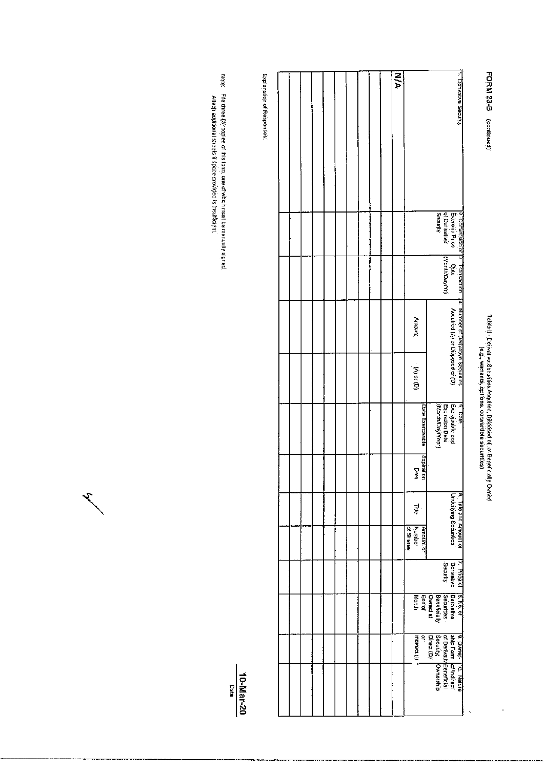## FORM 23-B (continued)

# Tabia I - Deirvative Securities Acquired, Disposed of, or Beneficially Owned<br>Tabia I - Deirvative Securities Acquired, Disposed of, or Beneficially Owned

J,

l.

|  |  |  |  |  | N/A |           |                         |                  |                                                                                                           |                                                                                         |                       |                                                                                                  | 1. Derivative Security |
|--|--|--|--|--|-----|-----------|-------------------------|------------------|-----------------------------------------------------------------------------------------------------------|-----------------------------------------------------------------------------------------|-----------------------|--------------------------------------------------------------------------------------------------|------------------------|
|  |  |  |  |  |     |           |                         |                  |                                                                                                           |                                                                                         |                       |                                                                                                  |                        |
|  |  |  |  |  |     |           |                         |                  |                                                                                                           | Security                                                                                | of Derivalive         |                                                                                                  |                        |
|  |  |  |  |  |     |           |                         |                  |                                                                                                           |                                                                                         | Date<br>(MonthDay/Yr) |                                                                                                  |                        |
|  |  |  |  |  |     |           | Andunt                  |                  |                                                                                                           |                                                                                         |                       | 2. Conversion or 13. Transaction – 44. Number of Derivative Securities.<br>Exercise Price – Date |                        |
|  |  |  |  |  |     |           | $\mathbf{r}$ (b) or (b) |                  |                                                                                                           |                                                                                         |                       |                                                                                                  |                        |
|  |  |  |  |  |     |           |                         | Date Exercisable |                                                                                                           | 5. Date<br>Exercisable and<br>Expiration Date<br> (Month/Day/Year)<br> (Month/Day/Year) |                       |                                                                                                  |                        |
|  |  |  |  |  |     |           | Date                    | Expiration       |                                                                                                           |                                                                                         |                       |                                                                                                  |                        |
|  |  |  |  |  |     |           | 릝                       |                  |                                                                                                           |                                                                                         |                       | <b>Underlying Securities</b>                                                                     | 6. Trile and Amount of |
|  |  |  |  |  |     | of Shares | Number                  | Amount or        |                                                                                                           |                                                                                         |                       |                                                                                                  |                        |
|  |  |  |  |  |     |           |                         |                  |                                                                                                           |                                                                                         | Security              | Priče of [8. No. of<br>  Derivative   Derivativa                                                 |                        |
|  |  |  |  |  |     |           | Month                   |                  | Beneficially<br>Owned at<br>End of                                                                        |                                                                                         | Securities            |                                                                                                  |                        |
|  |  |  |  |  |     |           | th periodi              | Ŗ                |                                                                                                           |                                                                                         |                       |                                                                                                  |                        |
|  |  |  |  |  |     |           |                         |                  | ¶9. Owner- 110. Nature<br>arb Form  of Indirect<br>of DerivatlyBeneficial<br> birect (b)  <br> birect (b) |                                                                                         |                       |                                                                                                  |                        |
|  |  |  |  |  |     |           |                         |                  |                                                                                                           |                                                                                         |                       |                                                                                                  |                        |

Explanation of Responses:

Note; - File three (3) copies of this form, one of which must be manually signed.<br>Attach additional sheels if space provided is linsufficient.

 $\mathcal{F}_{\mathcal{F}}$